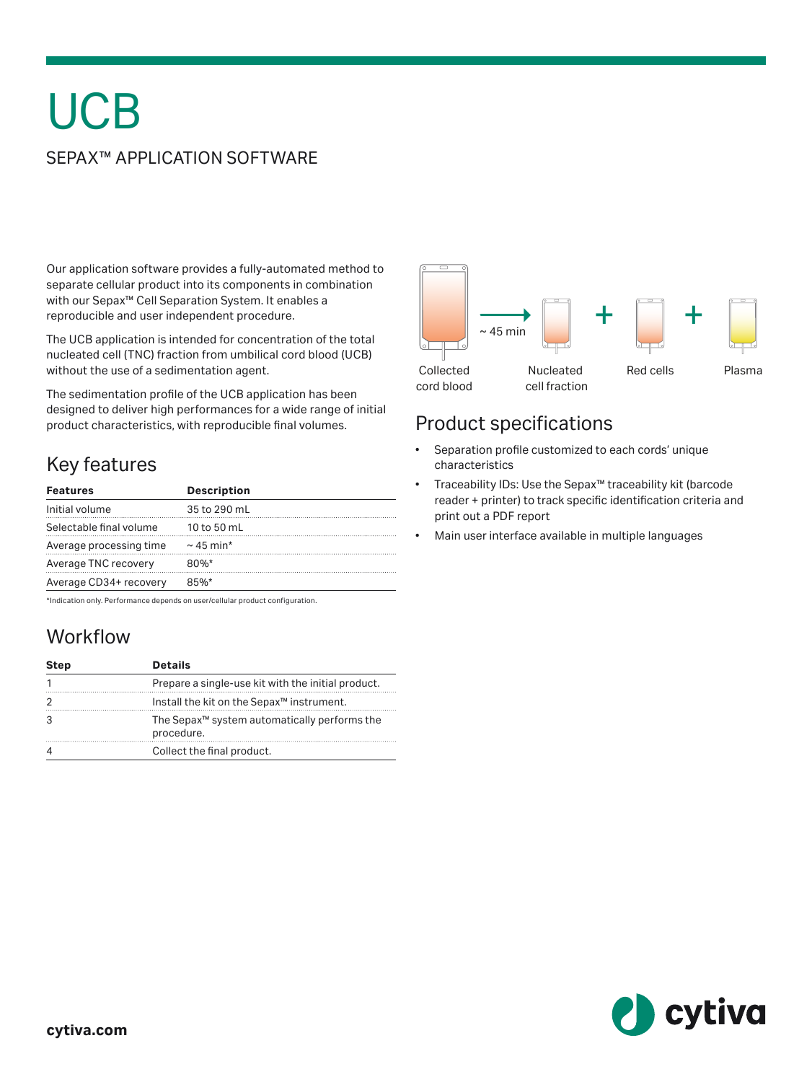# **UCB**

#### SEPAX™ APPLICATION SOFTWARE

Our application software provides a fully-automated method to separate cellular product into its components in combination with our Sepax™ Cell Separation System. It enables a reproducible and user independent procedure.

The UCB application is intended for concentration of the total nucleated cell (TNC) fraction from umbilical cord blood (UCB) without the use of a sedimentation agent.

The sedimentation profile of the UCB application has been designed to deliver high performances for a wide range of initial product characteristics, with reproducible final volumes.

# Key features

| <b>Features</b>         | <b>Description</b> |
|-------------------------|--------------------|
| Initial volume          | 35 to 290 mL       |
| Selectable final volume | 10 to 50 mL        |
| Average processing time | $\sim$ 45 min*     |
| Average TNC recovery    | $80%$ *            |
| Average CD34+ recovery  | 85%                |

\*Indication only. Performance depends on user/cellular product configuration.

# **Workflow**

| <b>Step</b> | <b>Details</b>                                                         |
|-------------|------------------------------------------------------------------------|
|             | Prepare a single-use kit with the initial product.                     |
| 2           | Install the kit on the Sepax <sup>™</sup> instrument.                  |
| 3           | The Sepax <sup>™</sup> system automatically performs the<br>procedure. |
|             | Collect the final product.                                             |



### Product specifications

- Separation profile customized to each cords' unique characteristics
- Traceability IDs: Use the Sepax™ traceability kit (barcode reader + printer) to track specific identification criteria and print out a PDF report
- Main user interface available in multiple languages